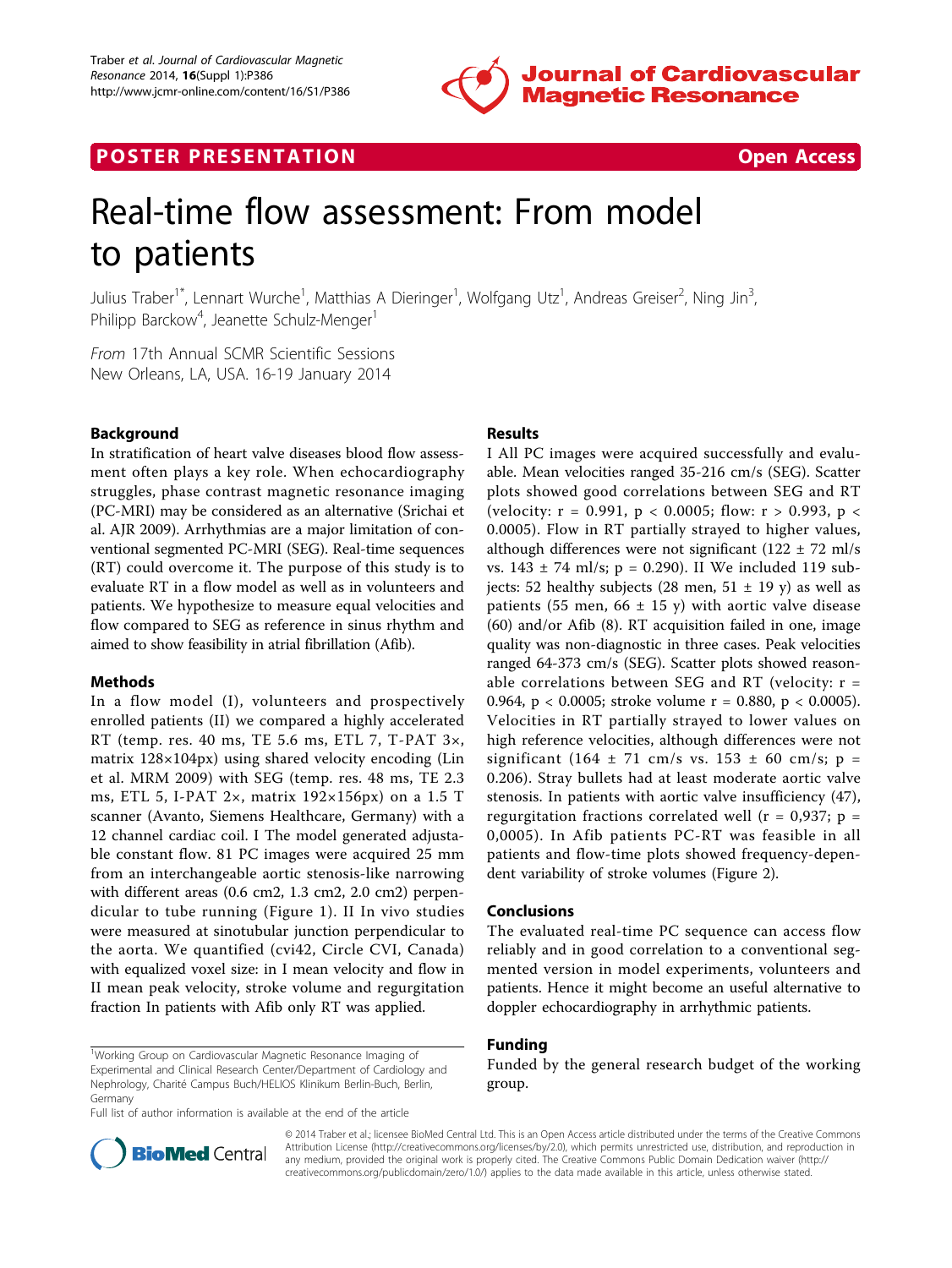

# **POSTER PRESENTATION CONSUMING THE SECOND CONSUMING THE SECOND CONSUMING THE SECOND CONSUMING THE SECOND CONSUMING THE SECOND CONSUMING THE SECOND CONSUMING THE SECOND CONSUMING THE SECOND CONSUMING THE SECOND CONSUMING**



# Real-time flow assessment: From model to patients

Julius Traber<sup>1\*</sup>, Lennart Wurche<sup>1</sup>, Matthias A Dieringer<sup>1</sup>, Wolfgang Utz<sup>1</sup>, Andreas Greiser<sup>2</sup>, Ning Jin<sup>3</sup> , Philipp Barckow<sup>4</sup>, Jeanette Schulz-Menger<sup>1</sup>

From 17th Annual SCMR Scientific Sessions New Orleans, LA, USA. 16-19 January 2014

# Background

In stratification of heart valve diseases blood flow assessment often plays a key role. When echocardiography struggles, phase contrast magnetic resonance imaging (PC-MRI) may be considered as an alternative (Srichai et al. AJR 2009). Arrhythmias are a major limitation of conventional segmented PC-MRI (SEG). Real-time sequences (RT) could overcome it. The purpose of this study is to evaluate RT in a flow model as well as in volunteers and patients. We hypothesize to measure equal velocities and flow compared to SEG as reference in sinus rhythm and aimed to show feasibility in atrial fibrillation (Afib).

### **Methods**

In a flow model (I), volunteers and prospectively enrolled patients (II) we compared a highly accelerated RT (temp. res. 40 ms, TE 5.6 ms, ETL 7, T-PAT 3×, matrix 128×104px) using shared velocity encoding (Lin et al. MRM 2009) with SEG (temp. res. 48 ms, TE 2.3 ms, ETL 5, I-PAT 2×, matrix 192×156px) on a 1.5 T scanner (Avanto, Siemens Healthcare, Germany) with a 12 channel cardiac coil. I The model generated adjustable constant flow. 81 PC images were acquired 25 mm from an interchangeable aortic stenosis-like narrowing with different areas (0.6 cm2, 1.3 cm2, 2.0 cm2) perpendicular to tube running (Figure [1](#page-1-0)). II In vivo studies were measured at sinotubular junction perpendicular to the aorta. We quantified (cvi42, Circle CVI, Canada) with equalized voxel size: in I mean velocity and flow in II mean peak velocity, stroke volume and regurgitation fraction In patients with Afib only RT was applied.

# Results

I All PC images were acquired successfully and evaluable. Mean velocities ranged 35-216 cm/s (SEG). Scatter plots showed good correlations between SEG and RT (velocity:  $r = 0.991$ ,  $p < 0.0005$ ; flow:  $r > 0.993$ ,  $p <$ 0.0005). Flow in RT partially strayed to higher values, although differences were not significant (122  $\pm$  72 ml/s) vs.  $143 \pm 74$  ml/s; p = 0.290). II We included 119 subjects: 52 healthy subjects (28 men, 51  $\pm$  19 y) as well as patients (55 men, 66  $\pm$  15 y) with aortic valve disease (60) and/or Afib (8). RT acquisition failed in one, image quality was non-diagnostic in three cases. Peak velocities ranged 64-373 cm/s (SEG). Scatter plots showed reasonable correlations between SEG and RT (velocity:  $r =$ 0.964, p < 0.0005; stroke volume r = 0.880, p < 0.0005). Velocities in RT partially strayed to lower values on high reference velocities, although differences were not significant (164  $\pm$  71 cm/s vs. 153  $\pm$  60 cm/s; p = 0.206). Stray bullets had at least moderate aortic valve stenosis. In patients with aortic valve insufficiency (47), regurgitation fractions correlated well ( $r = 0.937$ ;  $p =$ 0,0005). In Afib patients PC-RT was feasible in all patients and flow-time plots showed frequency-dependent variability of stroke volumes (Figure [2](#page-1-0)).

#### Conclusions

The evaluated real-time PC sequence can access flow reliably and in good correlation to a conventional segmented version in model experiments, volunteers and patients. Hence it might become an useful alternative to doppler echocardiography in arrhythmic patients.

## Funding

Funded by the general research budget of the working group.

Full list of author information is available at the end of the article



© 2014 Traber et al.; licensee BioMed Central Ltd. This is an Open Access article distributed under the terms of the Creative Commons Attribution License [\(http://creativecommons.org/licenses/by/2.0](http://creativecommons.org/licenses/by/2.0)), which permits unrestricted use, distribution, and reproduction in any medium, provided the original work is properly cited. The Creative Commons Public Domain Dedication waiver [\(http://](http://creativecommons.org/publicdomain/zero/1.0/) [creativecommons.org/publicdomain/zero/1.0/](http://creativecommons.org/publicdomain/zero/1.0/)) applies to the data made available in this article, unless otherwise stated.

<sup>&</sup>lt;sup>1</sup>Working Group on Cardiovascular Magnetic Resonance Imaging of Experimental and Clinical Research Center/Department of Cardiology and Nephrology, Charité Campus Buch/HELIOS Klinikum Berlin-Buch, Berlin, Germany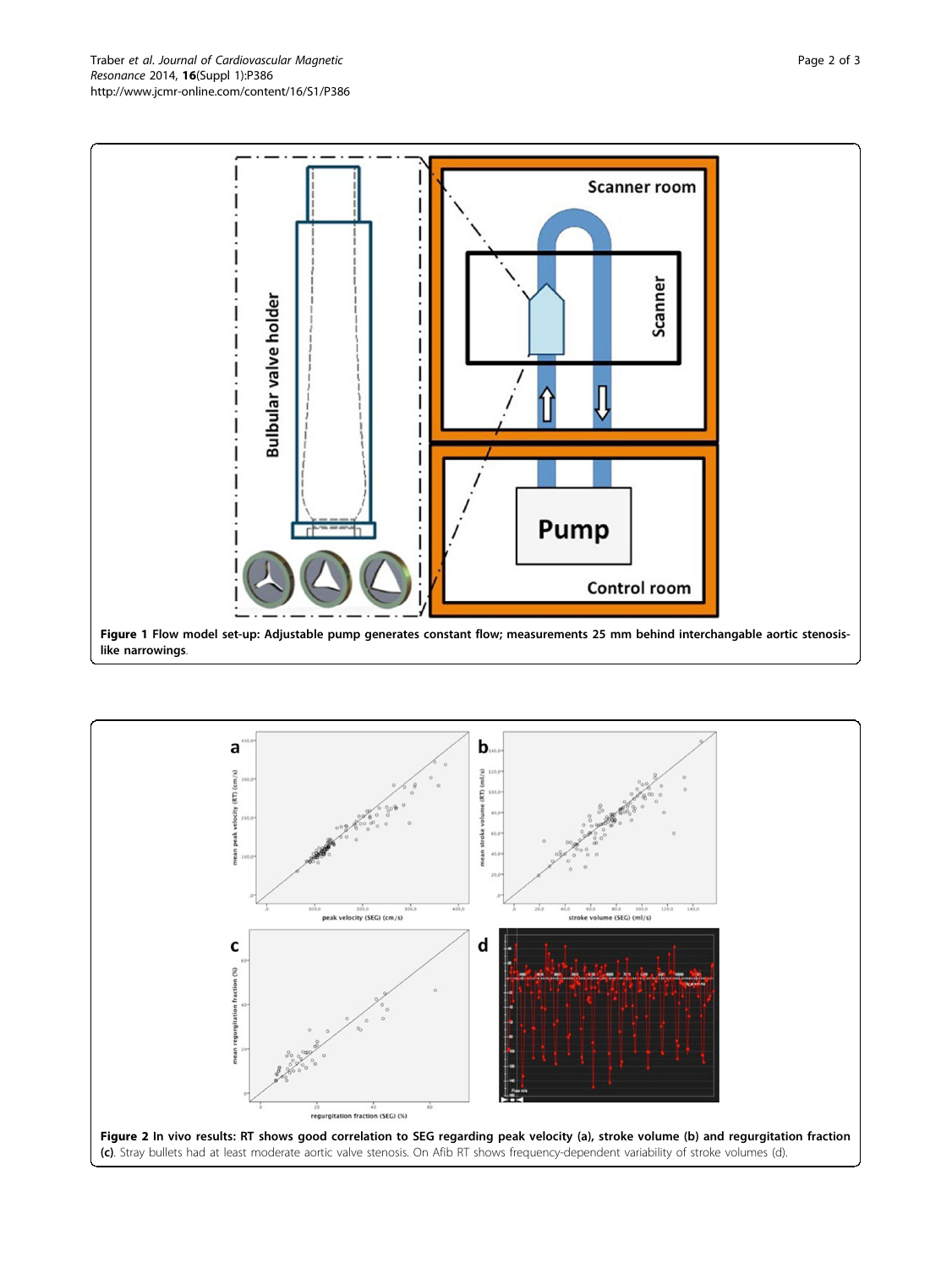<span id="page-1-0"></span>